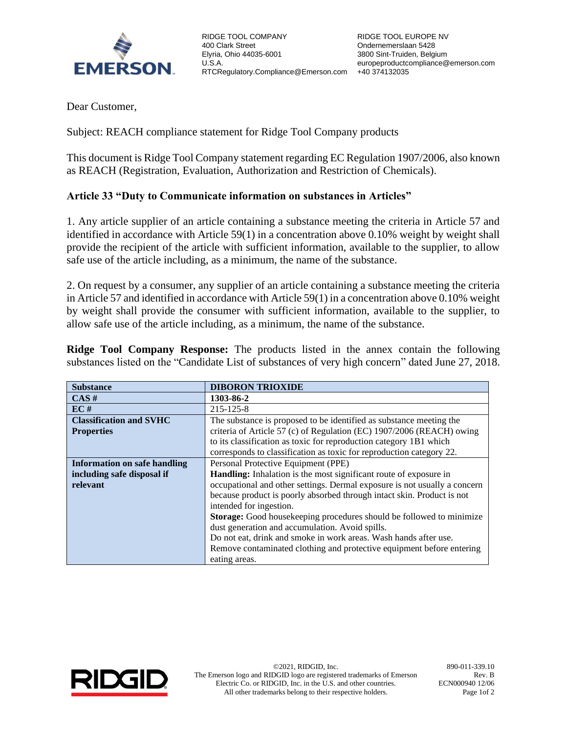

RIDGE TOOL COMPANY 400 Clark Street Elyria, Ohio 44035-6001 U.S.A. RTCRegulatory.Compliance@Emerson.com +40 374132035

Dear Customer,

Subject: REACH compliance statement for Ridge Tool Company products

This document is Ridge Tool Company statement regarding EC Regulation 1907/2006, also known as REACH (Registration, Evaluation, Authorization and Restriction of Chemicals).

## **Article 33 "Duty to Communicate information on substances in Articles"**

1. Any article supplier of an article containing a substance meeting the criteria in Article 57 and identified in accordance with Article 59(1) in a concentration above 0.10% weight by weight shall provide the recipient of the article with sufficient information, available to the supplier, to allow safe use of the article including, as a minimum, the name of the substance.

2. On request by a consumer, any supplier of an article containing a substance meeting the criteria in Article 57 and identified in accordance with Article 59(1) in a concentration above 0.10% weight by weight shall provide the consumer with sufficient information, available to the supplier, to allow safe use of the article including, as a minimum, the name of the substance.

**Ridge Tool Company Response:** The products listed in the annex contain the following substances listed on the "Candidate List of substances of very high concern" dated June 27, 2018.

| <b>Substance</b>                    | <b>DIBORON TRIOXIDE</b>                                                   |  |  |
|-------------------------------------|---------------------------------------------------------------------------|--|--|
| CAS#                                | 1303-86-2                                                                 |  |  |
| EC#                                 | 215-125-8                                                                 |  |  |
| <b>Classification and SVHC</b>      | The substance is proposed to be identified as substance meeting the       |  |  |
| <b>Properties</b>                   | criteria of Article 57 (c) of Regulation (EC) 1907/2006 (REACH) owing     |  |  |
|                                     | to its classification as toxic for reproduction category 1B1 which        |  |  |
|                                     | corresponds to classification as toxic for reproduction category 22.      |  |  |
| <b>Information on safe handling</b> | Personal Protective Equipment (PPE)                                       |  |  |
| including safe disposal if          | Handling: Inhalation is the most significant route of exposure in         |  |  |
| relevant                            | occupational and other settings. Dermal exposure is not usually a concern |  |  |
|                                     | because product is poorly absorbed through intact skin. Product is not    |  |  |
|                                     | intended for ingestion.                                                   |  |  |
|                                     | Storage: Good housekeeping procedures should be followed to minimize      |  |  |
|                                     | dust generation and accumulation. Avoid spills.                           |  |  |
|                                     | Do not eat, drink and smoke in work areas. Wash hands after use.          |  |  |
|                                     | Remove contaminated clothing and protective equipment before entering     |  |  |
|                                     | eating areas.                                                             |  |  |